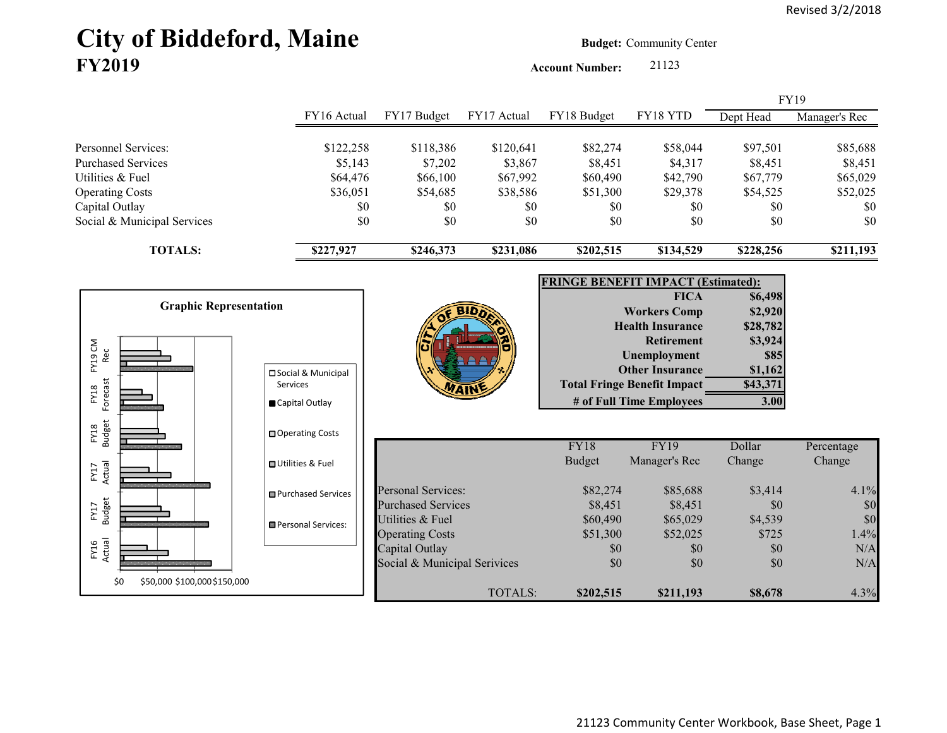# City of Biddeford, Maine **Budget:** Community Center **FY2019**

**Account Number:** 21123

|                                                                                                |                                                    |                                                                            |                                              |                                             |                                                                                                                                                                                                       |                                                                                         | <b>FY19</b>                                 |
|------------------------------------------------------------------------------------------------|----------------------------------------------------|----------------------------------------------------------------------------|----------------------------------------------|---------------------------------------------|-------------------------------------------------------------------------------------------------------------------------------------------------------------------------------------------------------|-----------------------------------------------------------------------------------------|---------------------------------------------|
|                                                                                                | FY16 Actual                                        | FY17 Budget                                                                | FY17 Actual                                  | FY18 Budget                                 | FY18 YTD                                                                                                                                                                                              | Dept Head                                                                               | Manager's Rec                               |
| Personnel Services:<br><b>Purchased Services</b><br>Utilities & Fuel<br><b>Operating Costs</b> | \$122,258<br>\$5,143<br>\$64,476<br>\$36,051       | \$118,386<br>\$7,202<br>\$66,100<br>\$54,685                               | \$120,641<br>\$3,867<br>\$67,992<br>\$38,586 | \$82,274<br>\$8,451<br>\$60,490<br>\$51,300 | \$58,044<br>\$4,317<br>\$42,790<br>\$29,378                                                                                                                                                           | \$97,501<br>\$8,451<br>\$67,779<br>\$54,525                                             | \$85,688<br>\$8,451<br>\$65,029<br>\$52,025 |
| Capital Outlay<br>Social & Municipal Services                                                  | \$0<br>\$0                                         | \$0<br>\$0                                                                 | \$0<br>\$0                                   | \$0<br>\$0                                  | \$0<br>\$0                                                                                                                                                                                            | \$0<br>\$0                                                                              | \$0<br>\$0                                  |
| <b>TOTALS:</b>                                                                                 | \$227,927                                          | \$246,373                                                                  | \$231,086                                    | \$202,515                                   | \$134,529                                                                                                                                                                                             | \$228,256                                                                               | \$211,193                                   |
|                                                                                                |                                                    |                                                                            |                                              | <b>FRINGE BENEFIT IMPACT (Estimated):</b>   |                                                                                                                                                                                                       |                                                                                         |                                             |
| <b>Graphic Representation</b><br>FY19 CM<br>Rec<br>Forecast<br>FY18                            | □ Social & Municipal<br>Services<br>Capital Outlay |                                                                            |                                              |                                             | <b>FICA</b><br><b>Workers Comp</b><br><b>Health Insurance</b><br><b>Retirement</b><br><b>Unemployment</b><br><b>Other Insurance</b><br><b>Total Fringe Benefit Impact</b><br># of Full Time Employees | \$6,498<br>\$2,920<br>\$28,782<br>\$3,924<br><b>\$85</b><br>\$1,162<br>\$43,371<br>3.00 |                                             |
| <b>Budget</b><br>FY18                                                                          | □ Operating Costs                                  |                                                                            |                                              | FY18                                        | <b>FY19</b>                                                                                                                                                                                           | Dollar                                                                                  | Percentage                                  |
| Actual<br>FY17                                                                                 | <b>□</b> Utilities & Fuel                          |                                                                            |                                              | <b>Budget</b>                               | Manager's Rec                                                                                                                                                                                         | Change                                                                                  | Change                                      |
| FY17<br>Budget                                                                                 | <b>■Purchased Services</b><br>Personal Services:   | <b>Personal Services:</b><br><b>Purchased Services</b><br>Utilities & Fuel |                                              | \$82,274<br>\$8,451<br>\$60,490             | \$85,688<br>\$8,451<br>\$65,029                                                                                                                                                                       | \$3,414<br>\$0<br>\$4,539                                                               | 4.1%<br>\$0<br>\$0                          |
| FY16<br>Actual                                                                                 |                                                    | <b>Operating Costs</b><br>Capital Outlay<br>Social & Municipal Serivices   |                                              | \$51,300<br>\$0<br>\$0                      | \$52,025<br>\$0<br>\$0                                                                                                                                                                                | \$725<br>\$0<br>\$0                                                                     | 1.4%<br>N/A<br>N/A                          |
| \$0<br>\$50,000 \$100,000 \$150,000                                                            |                                                    |                                                                            | TOTALS:                                      | \$202,515                                   | \$211,193                                                                                                                                                                                             | \$8,678                                                                                 | 4.3%                                        |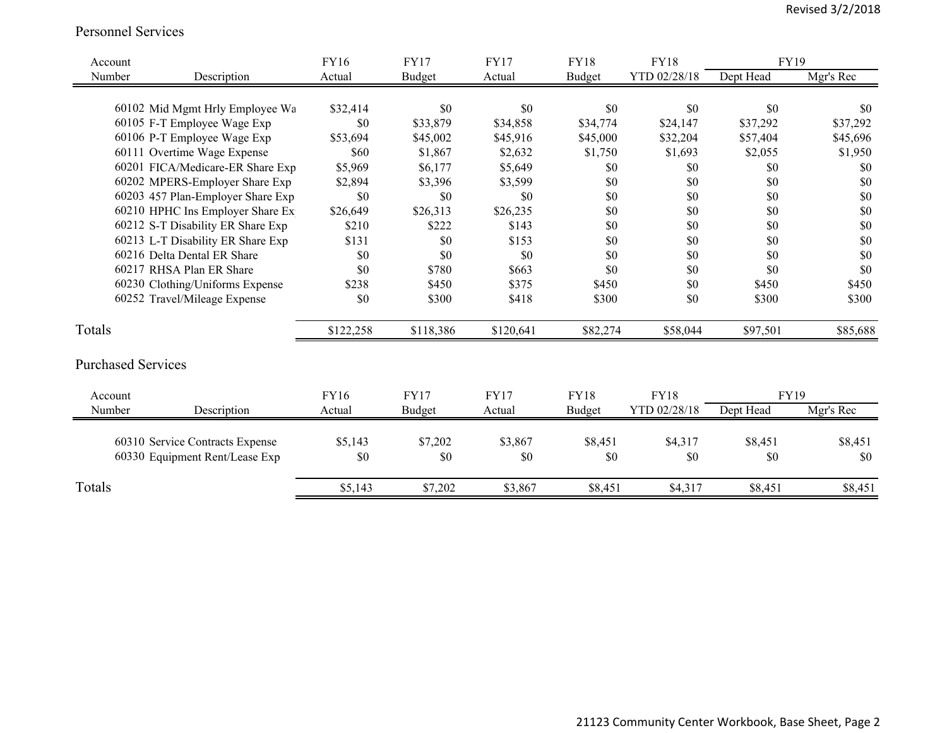#### Personnel Services

| Account                   |                                   | FY16      | <b>FY17</b>   | <b>FY17</b> | <b>FY18</b> | <b>FY18</b>  | <b>FY19</b> |           |
|---------------------------|-----------------------------------|-----------|---------------|-------------|-------------|--------------|-------------|-----------|
| Number                    | Description                       | Actual    | <b>Budget</b> | Actual      | Budget      | YTD 02/28/18 | Dept Head   | Mgr's Rec |
|                           |                                   |           |               |             |             |              |             |           |
|                           | 60102 Mid Mgmt Hrly Employee Wa   | \$32,414  | \$0           | \$0         | \$0         | \$0          | \$0         | \$0       |
|                           | 60105 F-T Employee Wage Exp       | \$0       | \$33,879      | \$34,858    | \$34,774    | \$24,147     | \$37,292    | \$37,292  |
|                           | 60106 P-T Employee Wage Exp       | \$53,694  | \$45,002      | \$45,916    | \$45,000    | \$32,204     | \$57,404    | \$45,696  |
|                           | 60111 Overtime Wage Expense       | \$60      | \$1,867       | \$2,632     | \$1,750     | \$1,693      | \$2,055     | \$1,950   |
|                           | 60201 FICA/Medicare-ER Share Exp  | \$5,969   | \$6,177       | \$5,649     | $\$0$       | \$0          | \$0         | \$0       |
|                           | 60202 MPERS-Employer Share Exp    | \$2,894   | \$3,396       | \$3,599     | \$0         | \$0          | \$0         | \$0       |
|                           | 60203 457 Plan-Employer Share Exp | \$0       | \$0           | \$0         | \$0         | \$0          | \$0         | \$0       |
|                           | 60210 HPHC Ins Employer Share Ex  | \$26,649  | \$26,313      | \$26,235    | \$0         | \$0          | \$0         | \$0       |
|                           | 60212 S-T Disability ER Share Exp | \$210     | \$222         | \$143       | \$0         | \$0          | \$0         | \$0       |
|                           | 60213 L-T Disability ER Share Exp | \$131     | \$0           | \$153       | \$0         | \$0          | \$0         | \$0       |
|                           | 60216 Delta Dental ER Share       | \$0       | \$0           | \$0         | \$0         | \$0          | \$0         | \$0       |
|                           | 60217 RHSA Plan ER Share          | \$0       | \$780         | \$663       | \$0         | \$0          | \$0         | \$0       |
|                           | 60230 Clothing/Uniforms Expense   | \$238     | \$450         | \$375       | \$450       | \$0          | \$450       | \$450     |
|                           | 60252 Travel/Mileage Expense      | \$0       | \$300         | \$418       | \$300       | \$0          | \$300       | \$300     |
| Totals                    |                                   | \$122,258 | \$118,386     | \$120,641   | \$82,274    | \$58,044     | \$97,501    | \$85,688  |
| <b>Purchased Services</b> |                                   |           |               |             |             |              |             |           |
| Account                   |                                   | FY16      | <b>FY17</b>   | <b>FY17</b> | <b>FY18</b> | <b>FY18</b>  | <b>FY19</b> |           |
| Number                    | Description                       | Actual    | Budget        | Actual      | Budget      | YTD 02/28/18 | Dept Head   | Mgr's Rec |
|                           | 60310 Service Contracts Expense   | \$5,143   | \$7,202       | \$3,867     | \$8,451     | \$4,317      | \$8,451     | \$8,451   |
|                           | 60330 Equipment Rent/Lease Exp    | \$0       | \$0           | \$0         | \$0         | \$0          | \$0         | \$0       |
| Totals                    |                                   | \$5,143   | \$7,202       | \$3,867     | \$8,451     | \$4,317      | \$8,451     | \$8,451   |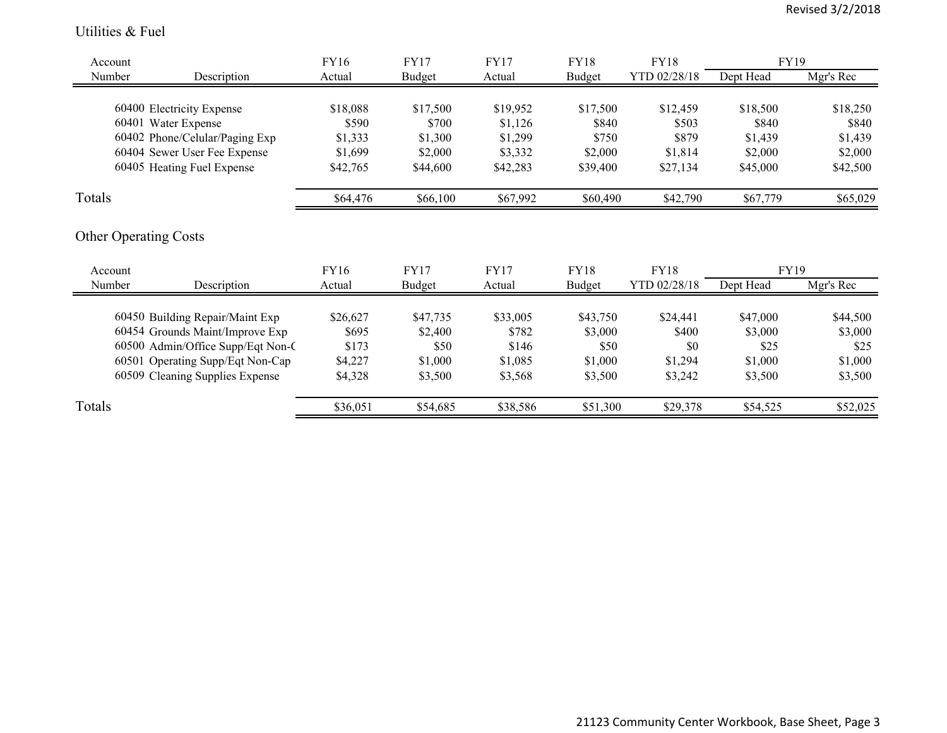#### Utilities & Fuel

| Account |                                   | FY16     | <b>FY17</b>   | <b>FY17</b> | FY18        | FY18         | FY19      |           |
|---------|-----------------------------------|----------|---------------|-------------|-------------|--------------|-----------|-----------|
| Number  | Description                       | Actual   | <b>Budget</b> | Actual      | Budget      | YTD 02/28/18 | Dept Head | Mgr's Rec |
|         |                                   |          |               |             |             |              |           |           |
|         | 60400 Electricity Expense         | \$18,088 | \$17,500      | \$19,952    | \$17,500    | \$12,459     | \$18,500  | \$18,250  |
|         | 60401 Water Expense               | \$590    | \$700         | \$1,126     | \$840       | \$503        | \$840     | \$840     |
|         | 60402 Phone/Celular/Paging Exp    | \$1,333  | \$1,300       | \$1,299     | \$750       | \$879        | \$1,439   | \$1,439   |
|         | 60404 Sewer User Fee Expense      | \$1,699  | \$2,000       | \$3,332     | \$2,000     | \$1,814      | \$2,000   | \$2,000   |
|         | 60405 Heating Fuel Expense        | \$42,765 | \$44,600      | \$42,283    | \$39,400    | \$27,134     | \$45,000  | \$42,500  |
| Totals  |                                   | \$64,476 | \$66,100      | \$67,992    | \$60,490    | \$42,790     | \$67,779  | \$65,029  |
| Account | <b>Other Operating Costs</b>      | FY16     | <b>FY17</b>   | <b>FY17</b> | <b>FY18</b> | <b>FY18</b>  | FY19      |           |
| Number  | Description                       | Actual   | Budget        | Actual      | Budget      | YTD 02/28/18 | Dept Head | Mgr's Rec |
|         | 60450 Building Repair/Maint Exp   | \$26,627 | \$47,735      | \$33,005    | \$43,750    | \$24,441     | \$47,000  | \$44,500  |
|         | 60454 Grounds Maint/Improve Exp   | \$695    | \$2,400       | \$782       | \$3,000     | \$400        | \$3,000   | \$3,000   |
|         | 60500 Admin/Office Supp/Eqt Non-C | \$173    | \$50          | \$146       | \$50        | \$0          | \$25      | \$25      |
|         | 60501 Operating Supp/Eqt Non-Cap  | \$4,227  | \$1,000       | \$1,085     | \$1,000     | \$1,294      | \$1,000   | \$1,000   |
|         | 60509 Cleaning Supplies Expense   | \$4,328  | \$3,500       | \$3,568     | \$3,500     | \$3,242      | \$3,500   | \$3,500   |
| Totals  |                                   | \$36,051 | \$54,685      | \$38,586    | \$51,300    | \$29,378     | \$54,525  | \$52,025  |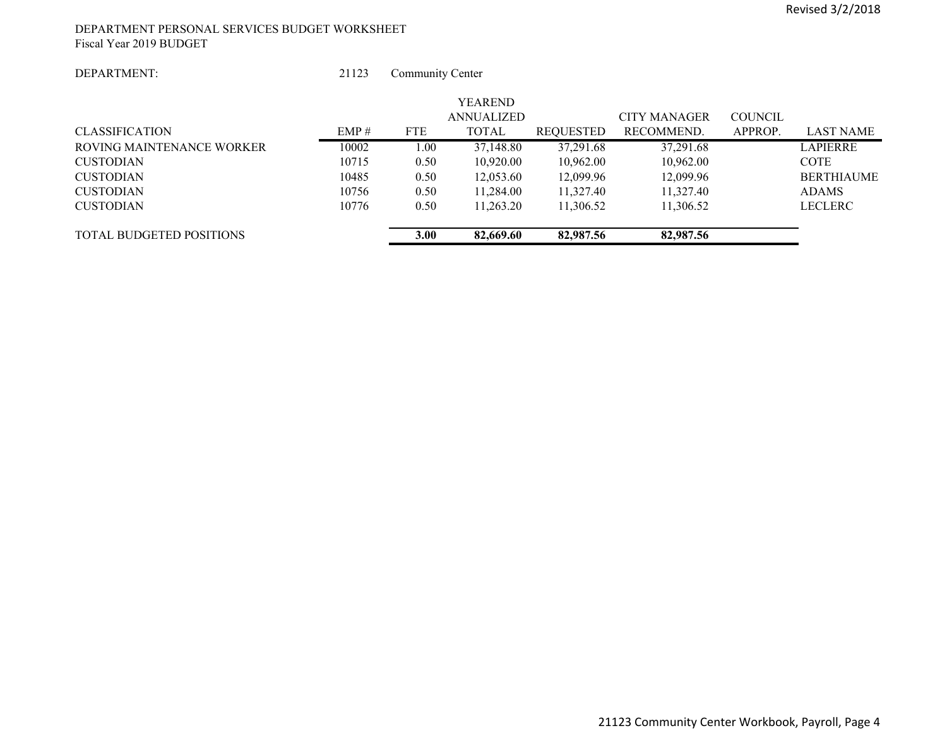#### DEPARTMENT PERSONAL SERVICES BUDGET WORKSHEET Fiscal Year 2019 BUDGET

#### DEPARTMENT:

 21123Community Center

| <b>TOTAL BUDGETED POSITIONS</b> |       | 3.00       | 82,669.60      | 82,987.56        | 82,987.56    |                |                   |
|---------------------------------|-------|------------|----------------|------------------|--------------|----------------|-------------------|
| <b>CUSTODIAN</b>                | 10776 | 0.50       | 11.263.20      | 11.306.52        | 11,306.52    |                | <b>LECLERC</b>    |
| <b>CUSTODIAN</b>                | 10756 | 0.50       | 11,284.00      | 11,327.40        | 11,327.40    |                | <b>ADAMS</b>      |
| <b>CUSTODIAN</b>                | 10485 | 0.50       | 12,053.60      | 12,099.96        | 12,099.96    |                | <b>BERTHIAUME</b> |
| <b>CUSTODIAN</b>                | 10715 | 0.50       | 10,920.00      | 10,962.00        | 10,962.00    |                | <b>COTE</b>       |
| ROVING MAINTENANCE WORKER       | 10002 | 1.00       | 37,148.80      | 37,291.68        | 37,291.68    |                | <b>LAPIERRE</b>   |
| <b>CLASSIFICATION</b>           | EMP#  | <b>FTE</b> | <b>TOTAL</b>   | <b>REOUESTED</b> | RECOMMEND.   | APPROP.        | <b>LAST NAME</b>  |
|                                 |       |            | ANNUALIZED     |                  | CITY MANAGER | <b>COUNCIL</b> |                   |
|                                 |       |            | <b>YEAREND</b> |                  |              |                |                   |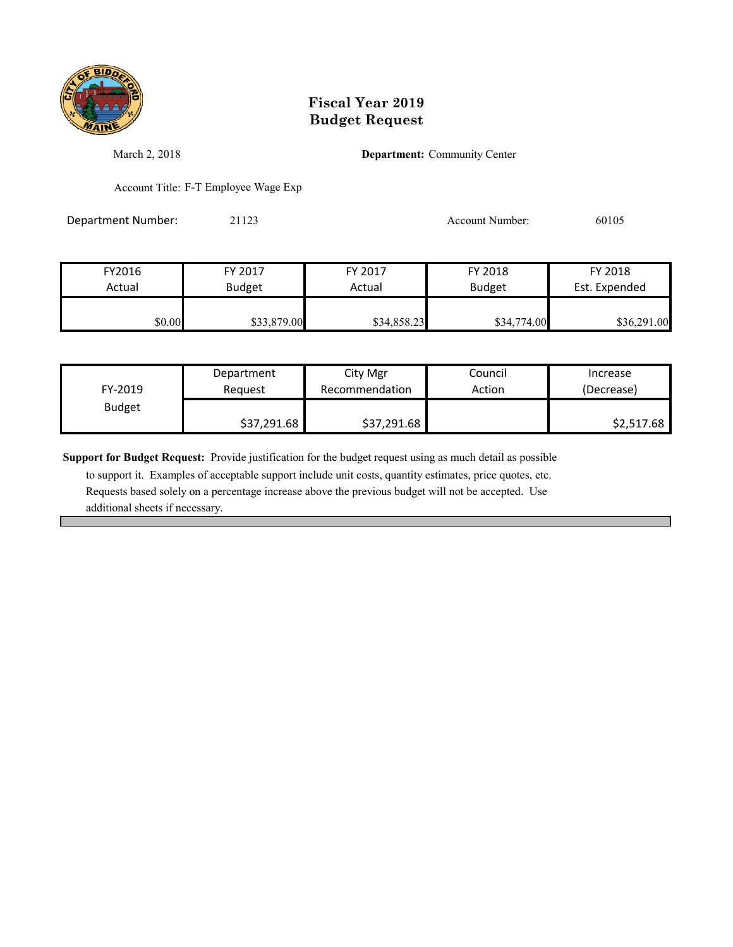

March 2, 2018 **Department:** Community Center

Account Title: F-T Employee Wage Exp

Department Number: 21123 20105 Account Number: 60105

FY2016 FY 2017 FY 2017 FY 2018 FY 2018 Actual Budget Actual Budget Est. Expended \$0.00 \$33,879.00 \$34,858.23 \$34,774.00 \$36,291.00

| FY-2019       | Department  | City Mgr       | Council | Increase   |
|---------------|-------------|----------------|---------|------------|
|               | Reauest     | Recommendation | Action  | (Decrease) |
| <b>Budget</b> | \$37,291.68 | \$37,291.68    |         | \$2,517.68 |

**Support for Budget Request:** Provide justification for the budget request using as much detail as possible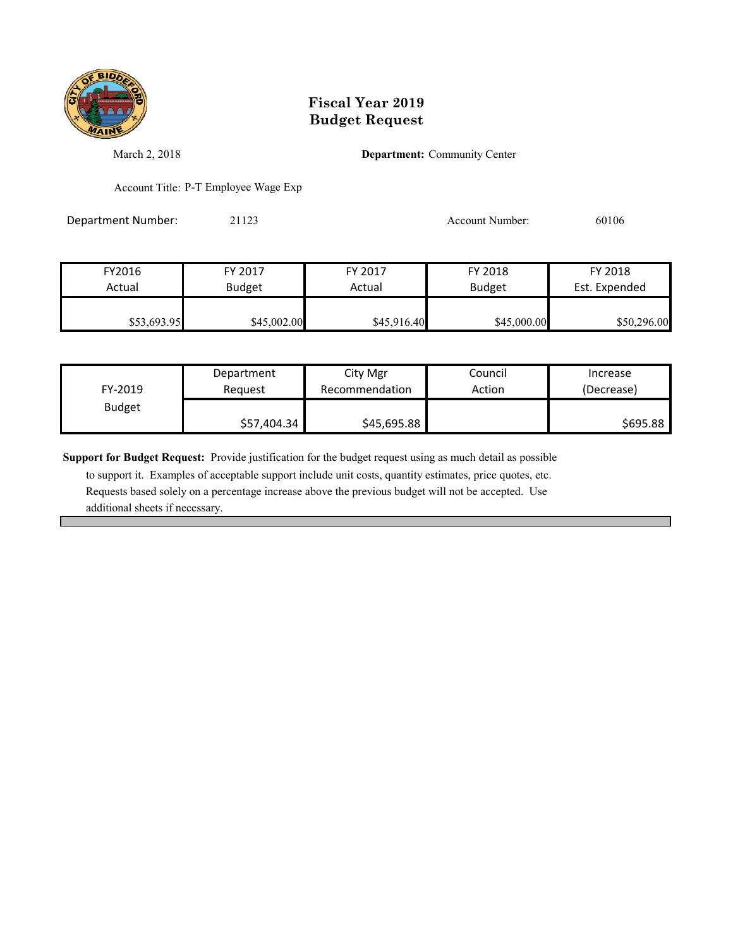

March 2, 2018 **Department:** Community Center

Account Title: P-T Employee Wage Exp

Department Number: 21123 20106<br>
20106

| FY2016      | FY 2017       | FY 2017     | FY 2018       | FY 2018       |
|-------------|---------------|-------------|---------------|---------------|
| Actual      | <b>Budget</b> | Actual      | <b>Budget</b> | Est. Expended |
|             |               |             |               |               |
| \$53,693.95 | \$45,002.00   | \$45,916.40 | \$45,000.00   | \$50,296.00   |

| FY-2019       | Department  | City Mgr       | Council | Increase   |
|---------------|-------------|----------------|---------|------------|
|               | Reauest     | Recommendation | Action  | (Decrease) |
| <b>Budget</b> | \$57,404.34 | \$45,695.88    |         | \$695.88   |

**Support for Budget Request:** Provide justification for the budget request using as much detail as possible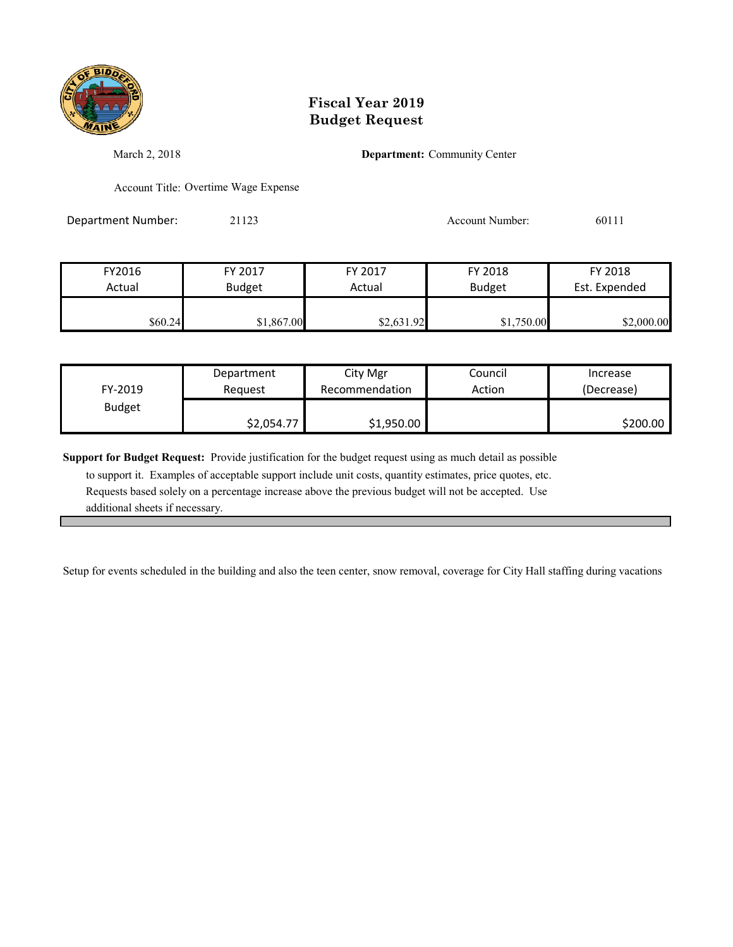

March 2, 2018 **Department:** Community Center

Account Title: Overtime Wage Expense

Department Number: 21123 21123 Account Number: 60111

| FY2016  | FY 2017       | FY 2017    | FY 2018       | FY 2018       |
|---------|---------------|------------|---------------|---------------|
| Actual  | <b>Budget</b> | Actual     | <b>Budget</b> | Est. Expended |
| \$60.24 | \$1,867.00    | \$2,631.92 | \$1,750.00    | \$2,000.00    |

| FY-2019       | Department | City Mgr       | Council | Increase   |
|---------------|------------|----------------|---------|------------|
|               | Reauest    | Recommendation | Action  | (Decrease) |
| <b>Budget</b> | \$2,054.77 | \$1,950.00     |         | \$200.00   |

**Support for Budget Request:** Provide justification for the budget request using as much detail as possible

 to support it. Examples of acceptable support include unit costs, quantity estimates, price quotes, etc. Requests based solely on a percentage increase above the previous budget will not be accepted. Use additional sheets if necessary.

Setup for events scheduled in the building and also the teen center, snow removal, coverage for City Hall staffing during vacations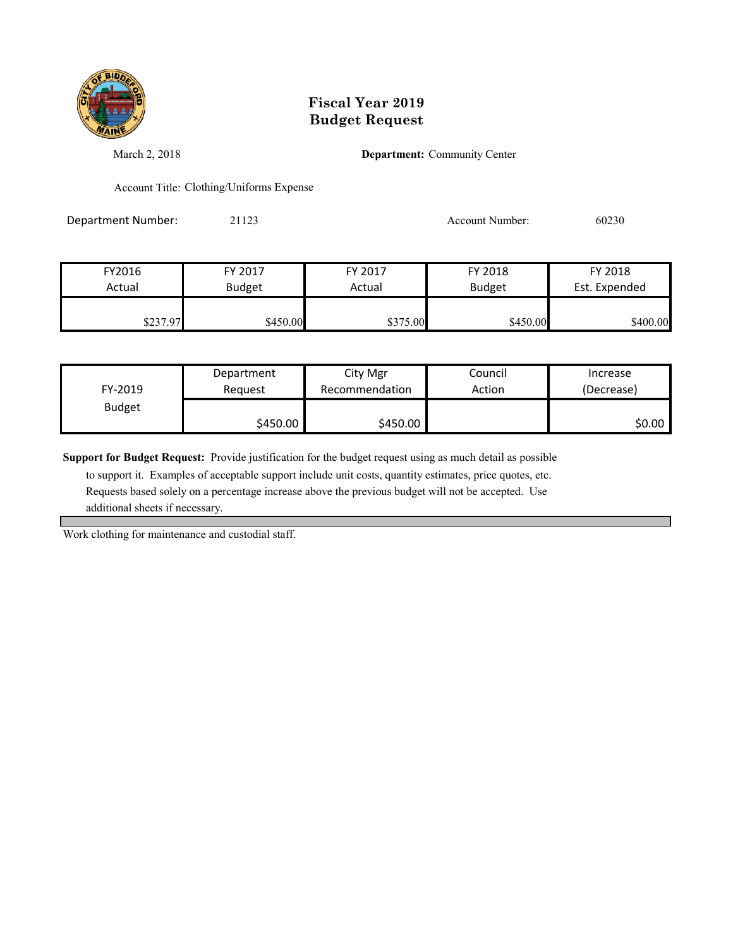

March 2, 2018 **Department:** Community Center

Account Title: Clothing/Uniforms Expense

Department Number: 21123 200230

| FY2016   | FY 2017       | FY 2017  | FY 2018       | FY 2018       |
|----------|---------------|----------|---------------|---------------|
| Actual   | <b>Budget</b> | Actual   | <b>Budget</b> | Est. Expended |
|          |               |          |               |               |
| \$237.97 | \$450.00      | \$375.00 | \$450.00      | \$400.00      |

| FY-2019       | Department | City Mgr       | Council | Increase   |
|---------------|------------|----------------|---------|------------|
|               | Reauest    | Recommendation | Action  | (Decrease) |
| <b>Budget</b> | \$450.00   | \$450.00       |         | \$0.00     |

**Support for Budget Request:** Provide justification for the budget request using as much detail as possible

 to support it. Examples of acceptable support include unit costs, quantity estimates, price quotes, etc. Requests based solely on a percentage increase above the previous budget will not be accepted. Use additional sheets if necessary.

Work clothing for maintenance and custodial staff.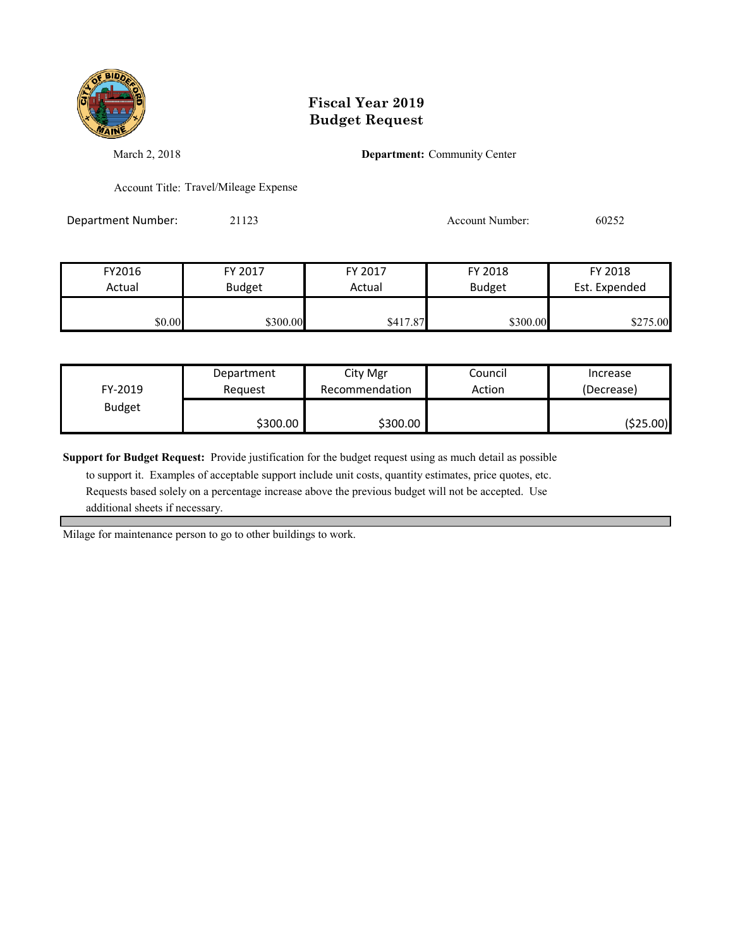

March 2, 2018 **Department:** Community Center

Account Title: Travel/Mileage Expense

Department Number: 21123 200252

| FY2016 | FY 2017       | FY 2017  | FY 2018       | FY 2018       |
|--------|---------------|----------|---------------|---------------|
| Actual | <b>Budget</b> | Actual   | <b>Budget</b> | Est. Expended |
|        |               |          |               |               |
| \$0.00 | \$300.00      | \$417.87 | \$300.00      | \$275.00      |

| FY-2019       | Department | City Mgr       | Council | Increase   |
|---------------|------------|----------------|---------|------------|
|               | Reauest    | Recommendation | Action  | (Decrease) |
| <b>Budget</b> | \$300.00   | \$300.00       |         | ( \$25.00) |

**Support for Budget Request:** Provide justification for the budget request using as much detail as possible

 to support it. Examples of acceptable support include unit costs, quantity estimates, price quotes, etc. Requests based solely on a percentage increase above the previous budget will not be accepted. Use additional sheets if necessary.

Milage for maintenance person to go to other buildings to work.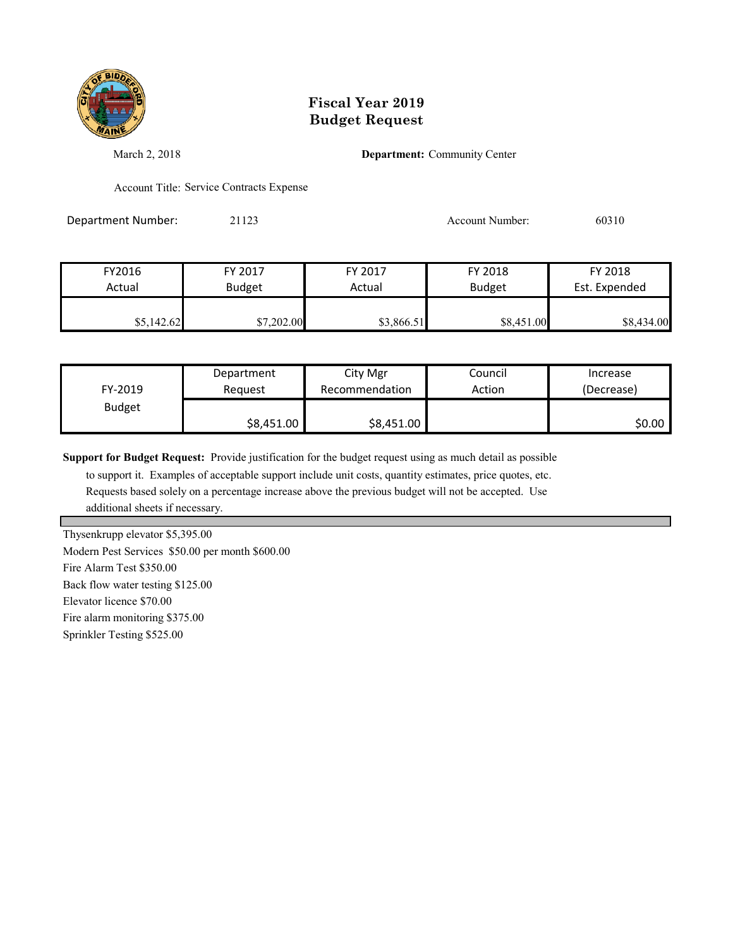

March 2, 2018 **Department:** Community Center

Account Title: Service Contracts Expense

Department Number: 21123 2009 2012 2012 Account Number: 60310

| FY2016     | FY 2017       | FY 2017    | FY 2018       | FY 2018       |
|------------|---------------|------------|---------------|---------------|
| Actual     | <b>Budget</b> | Actual     | <b>Budget</b> | Est. Expended |
|            |               |            |               |               |
| \$5,142.62 | \$7,202.00    | \$3,866.51 | \$8,451.00    | \$8,434.00    |

| FY-2019       | Department | City Mgr       | Council | Increase   |
|---------------|------------|----------------|---------|------------|
|               | Reauest    | Recommendation | Action  | (Decrease) |
| <b>Budget</b> | \$8,451.00 | \$8,451.00     |         | \$0.00     |

**Support for Budget Request:** Provide justification for the budget request using as much detail as possible

 to support it. Examples of acceptable support include unit costs, quantity estimates, price quotes, etc. Requests based solely on a percentage increase above the previous budget will not be accepted. Use additional sheets if necessary.

Thysenkrupp elevator \$5,395.00

Modern Pest Services \$50.00 per month \$600.00

Fire Alarm Test \$350.00

Back flow water testing \$125.00

Elevator licence \$70.00

Fire alarm monitoring \$375.00

Sprinkler Testing \$525.00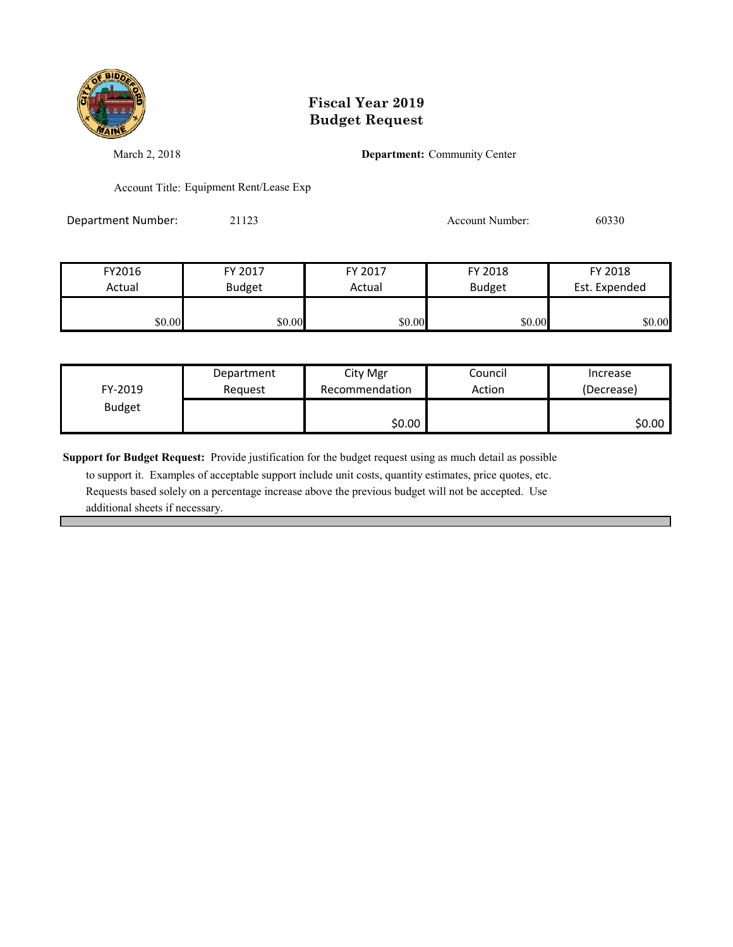

March 2, 2018 **Department:** Community Center

Account Title: Equipment Rent/Lease Exp

Department Number: 21123 200330 Account Number: 60330

| FY2016 | FY 2017       | FY 2017 | FY 2018       | FY 2018       |
|--------|---------------|---------|---------------|---------------|
| Actual | <b>Budget</b> | Actual  | <b>Budget</b> | Est. Expended |
|        |               |         |               |               |
| \$0.00 | \$0.00        | \$0.00  | \$0.00        | \$0.00        |

| FY-2019       | Department | City Mgr       | Council | Increase   |
|---------------|------------|----------------|---------|------------|
|               | Reauest    | Recommendation | Action  | (Decrease) |
| <b>Budget</b> |            | \$0.00         |         | \$0.00     |

**Support for Budget Request:** Provide justification for the budget request using as much detail as possible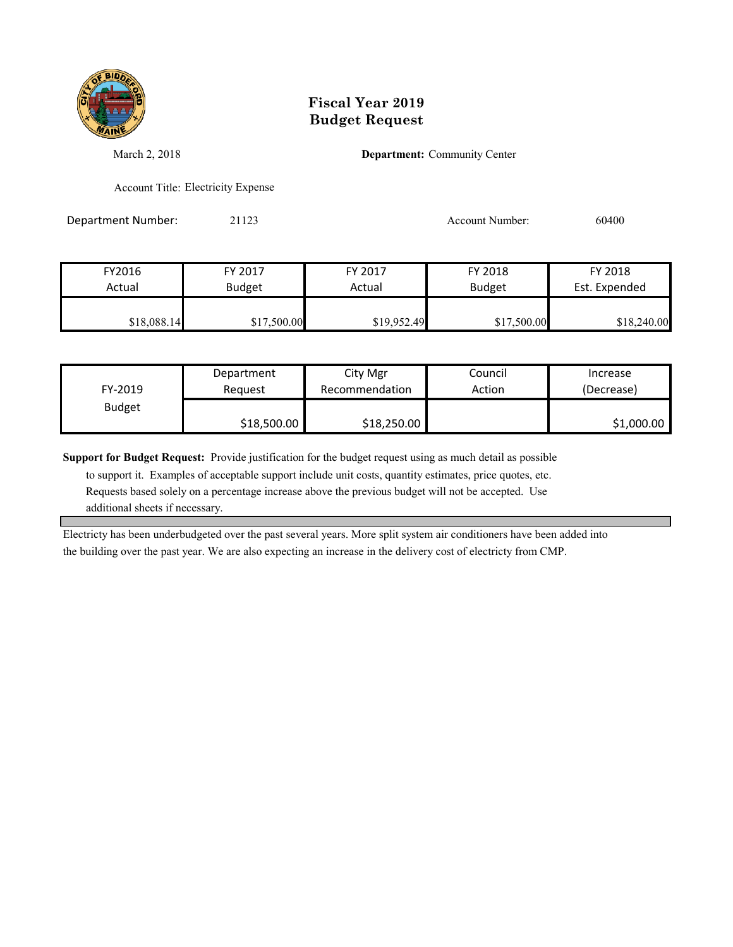

March 2, 2018 **Department:** Community Center

Account Title: Electricity Expense

Department Number: 21123 2000 2012 2012 Account Number: 60400

| FY2016      | FY 2017       | FY 2017     | FY 2018       | FY 2018       |
|-------------|---------------|-------------|---------------|---------------|
| Actual      | <b>Budget</b> | Actual      | <b>Budget</b> | Est. Expended |
|             |               |             |               |               |
| \$18,088.14 | \$17,500.00   | \$19,952.49 | \$17,500.00   | \$18,240.00   |

| FY-2019       | Department  | City Mgr       | Council | Increase   |
|---------------|-------------|----------------|---------|------------|
|               | Reauest     | Recommendation | Action  | (Decrease) |
| <b>Budget</b> | \$18,500.00 | \$18,250.00    |         | \$1,000.00 |

**Support for Budget Request:** Provide justification for the budget request using as much detail as possible

 to support it. Examples of acceptable support include unit costs, quantity estimates, price quotes, etc. Requests based solely on a percentage increase above the previous budget will not be accepted. Use additional sheets if necessary.

Electricty has been underbudgeted over the past several years. More split system air conditioners have been added into the building over the past year. We are also expecting an increase in the delivery cost of electricty from CMP.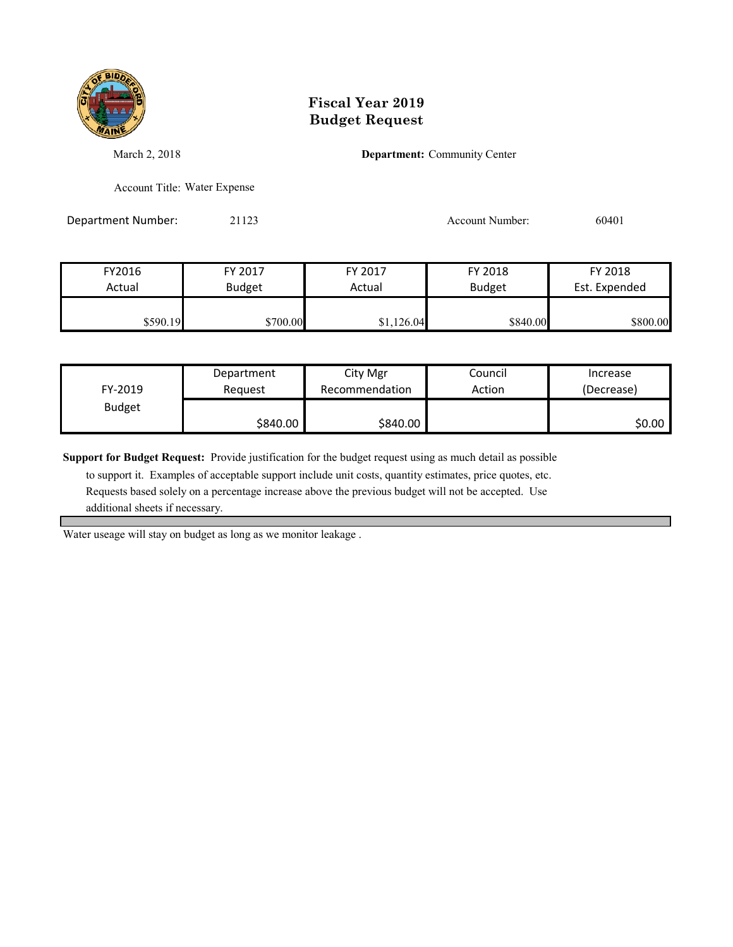

March 2, 2018 **Department:** Community Center

Account Title: Water Expense

Department Number: 21123 2002 2012 2012 2020 2020 2031 20401

| FY2016   | FY 2017       | FY 2017    | FY 2018       | FY 2018       |
|----------|---------------|------------|---------------|---------------|
| Actual   | <b>Budget</b> | Actual     | <b>Budget</b> | Est. Expended |
| \$590.19 | \$700.00      | \$1,126.04 | \$840.00      | \$800.00      |

| FY-2019       | Department | City Mgr       | Council | Increase   |
|---------------|------------|----------------|---------|------------|
|               | Reauest    | Recommendation | Action  | (Decrease) |
| <b>Budget</b> | \$840.00   | \$840.00       |         | \$0.00     |

**Support for Budget Request:** Provide justification for the budget request using as much detail as possible

 to support it. Examples of acceptable support include unit costs, quantity estimates, price quotes, etc. Requests based solely on a percentage increase above the previous budget will not be accepted. Use additional sheets if necessary.

Water useage will stay on budget as long as we monitor leakage .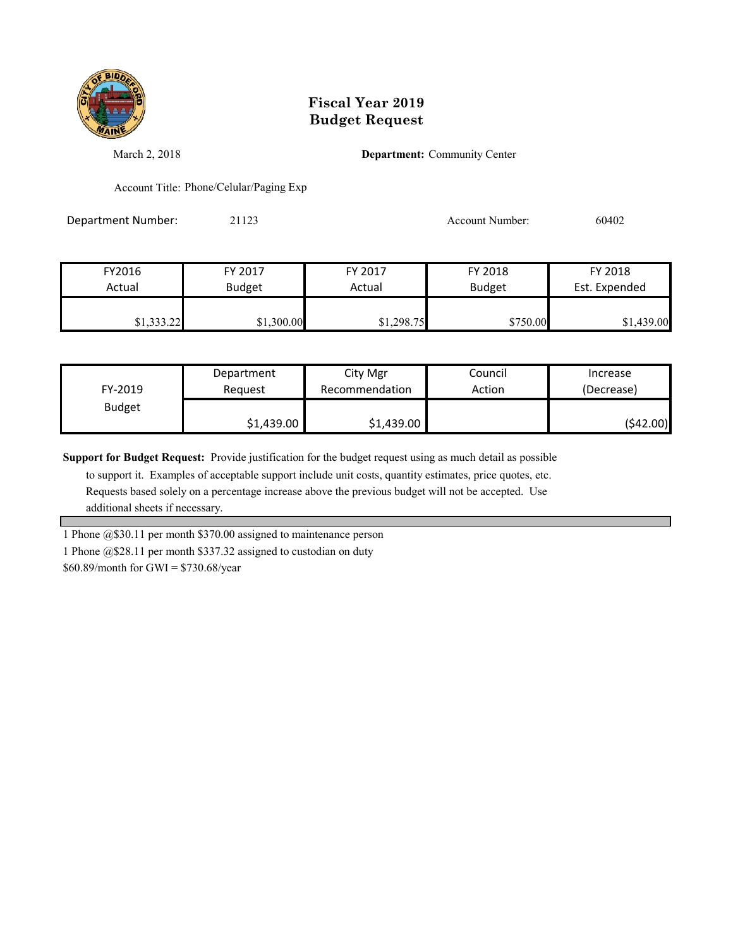

March 2, 2018 **Department:** Community Center

Account Title: Phone/Celular/Paging Exp

Department Number: 21123 2002 2012 2012 Account Number: 60402

| FY2016     | FY 2017       | FY 2017    | FY 2018       | FY 2018       |
|------------|---------------|------------|---------------|---------------|
| Actual     | <b>Budget</b> | Actual     | <b>Budget</b> | Est. Expended |
|            |               |            |               |               |
| \$1,333.22 | \$1,300.00    | \$1,298.75 | \$750.00      | \$1,439.00    |

| FY-2019       | Department | City Mgr       | Council | Increase   |
|---------------|------------|----------------|---------|------------|
|               | Reauest    | Recommendation | Action  | (Decrease) |
| <b>Budget</b> | \$1,439.00 | \$1,439.00     |         | (\$42.00)  |

**Support for Budget Request:** Provide justification for the budget request using as much detail as possible

 to support it. Examples of acceptable support include unit costs, quantity estimates, price quotes, etc. Requests based solely on a percentage increase above the previous budget will not be accepted. Use additional sheets if necessary.

1 Phone @\$30.11 per month \$370.00 assigned to maintenance person

1 Phone @\$28.11 per month \$337.32 assigned to custodian on duty

\$60.89/month for GWI = \$730.68/year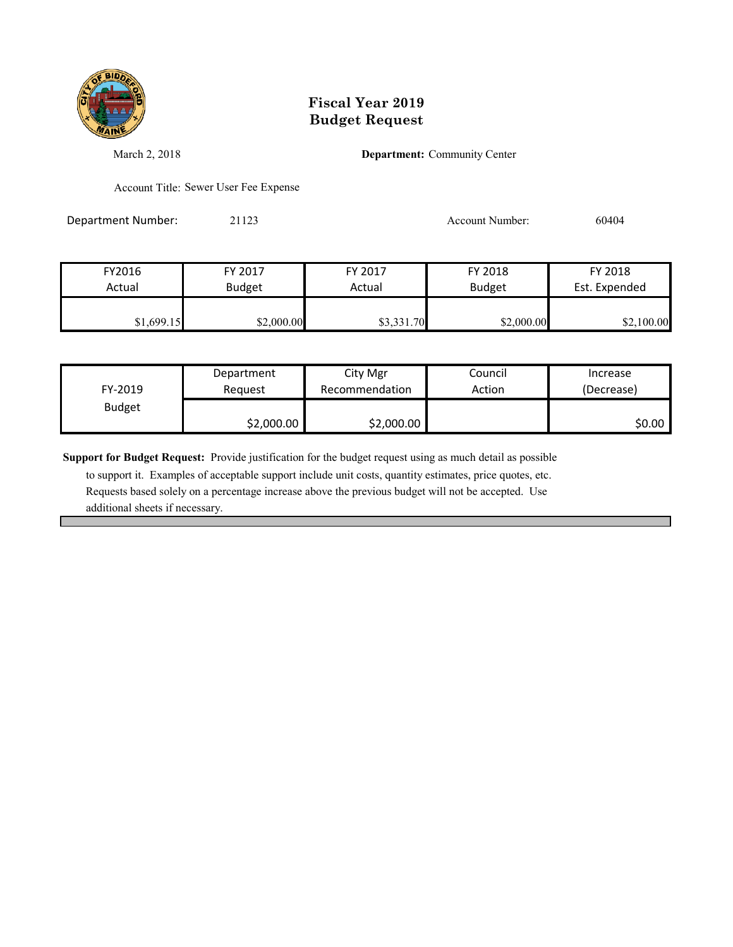

March 2, 2018 **Department:** Community Center

Account Title: Sewer User Fee Expense

Department Number: 21123 2009 2012 2012 Account Number: 60404

| FY2016     | FY 2017       | FY 2017    | FY 2018       | FY 2018       |
|------------|---------------|------------|---------------|---------------|
| Actual     | <b>Budget</b> | Actual     | <b>Budget</b> | Est. Expended |
|            |               |            |               |               |
| \$1,699.15 | \$2,000.00    | \$3,331.70 | \$2,000.00    | \$2,100.00    |

| FY-2019       | Department | City Mgr       | Council | Increase   |
|---------------|------------|----------------|---------|------------|
|               | Reauest    | Recommendation | Action  | (Decrease) |
| <b>Budget</b> | \$2,000.00 | \$2,000.00     |         | \$0.00     |

**Support for Budget Request:** Provide justification for the budget request using as much detail as possible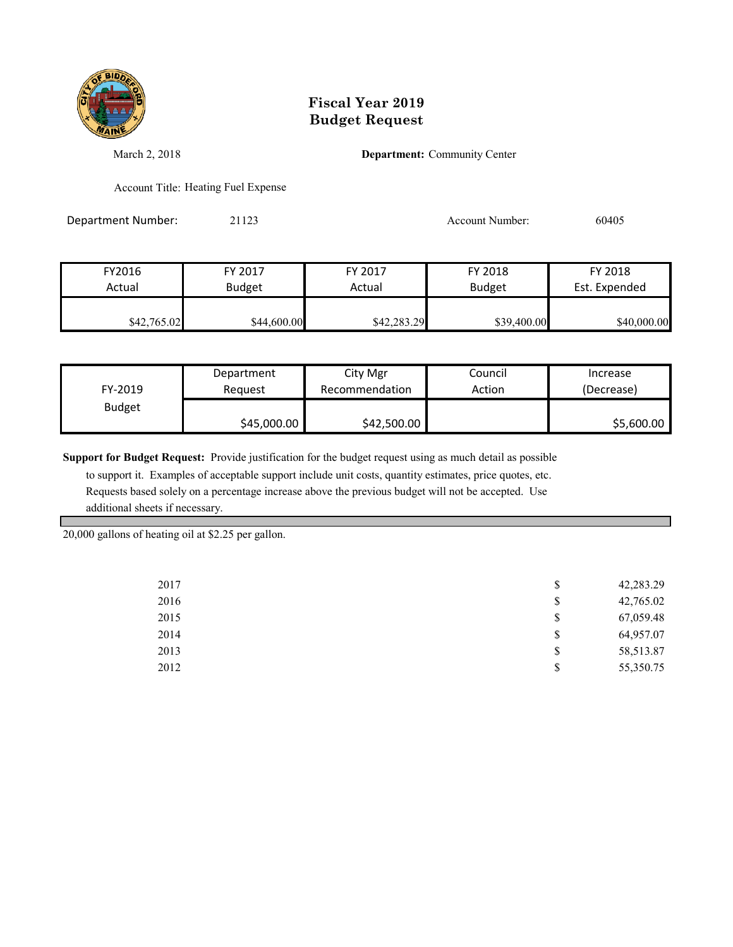

March 2, 2018 **Department:** Community Center

Account Title: Heating Fuel Expense

Department Number: 21123 2009 2012 2012 2012 2013 Account Number: 60405

| FY2016      | FY 2017       | FY 2017     | FY 2018       | FY 2018       |
|-------------|---------------|-------------|---------------|---------------|
| Actual      | <b>Budget</b> | Actual      | <b>Budget</b> | Est. Expended |
|             |               |             |               |               |
| \$42,765.02 | \$44,600.00   | \$42,283.29 | \$39,400.00   | \$40,000.00   |

|               | Department  | City Mgr       | Council | Increase   |
|---------------|-------------|----------------|---------|------------|
| FY-2019       | Reauest     | Recommendation | Action  | (Decrease) |
| <b>Budget</b> |             |                |         |            |
|               | \$45,000.00 | \$42,500.00    |         | \$5,600.00 |

**Support for Budget Request:** Provide justification for the budget request using as much detail as possible

 to support it. Examples of acceptable support include unit costs, quantity estimates, price quotes, etc. Requests based solely on a percentage increase above the previous budget will not be accepted. Use additional sheets if necessary.

20,000 gallons of heating oil at \$2.25 per gallon.

| 2017 | \$<br>42,283.29 |
|------|-----------------|
| 2016 | \$<br>42,765.02 |
| 2015 | \$<br>67,059.48 |
| 2014 | \$<br>64,957.07 |
| 2013 | \$<br>58,513.87 |
| 2012 | \$<br>55,350.75 |
|      |                 |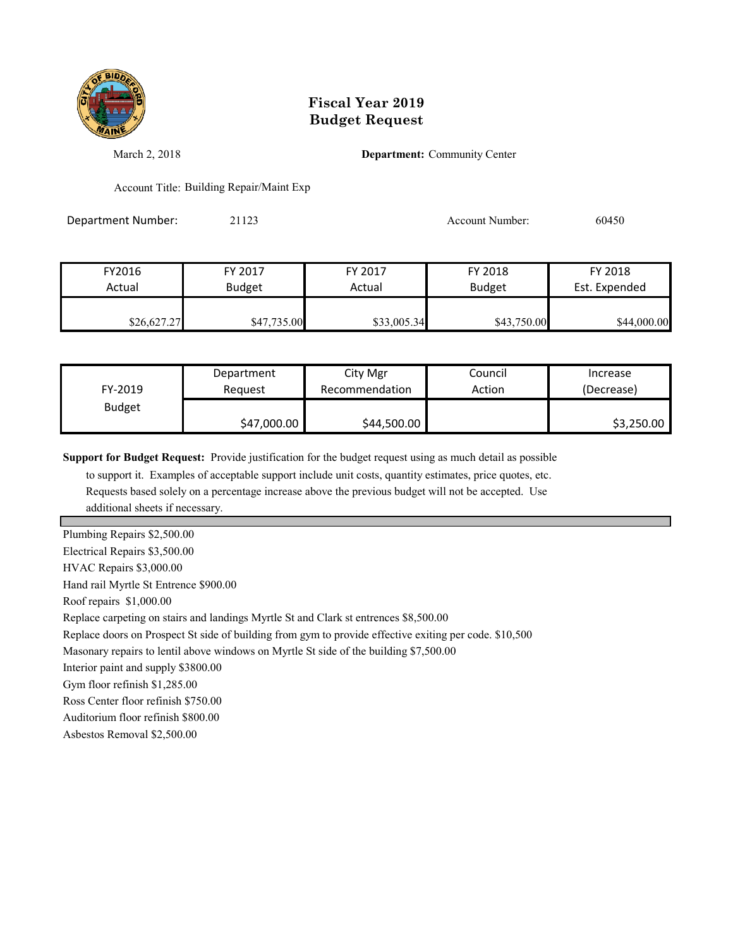

March 2, 2018 **Department:** Community Center

Account Title: Building Repair/Maint Exp

Department Number: 21123 Account Number: 60450

| FY2016      | FY 2017       | FY 2017     | FY 2018       | FY 2018       |
|-------------|---------------|-------------|---------------|---------------|
| Actual      | <b>Budget</b> | Actual      | <b>Budget</b> | Est. Expended |
|             |               |             |               |               |
| \$26,627.27 | \$47,735.00   | \$33,005.34 | \$43,750.00   | \$44,000.00   |

| FY-2019       | Department  | City Mgr       | Council | Increase   |
|---------------|-------------|----------------|---------|------------|
|               | Reauest     | Recommendation | Action  | (Decrease) |
| <b>Budget</b> | \$47,000.00 | \$44,500.00    |         | \$3,250.00 |

**Support for Budget Request:** Provide justification for the budget request using as much detail as possible

 to support it. Examples of acceptable support include unit costs, quantity estimates, price quotes, etc. Requests based solely on a percentage increase above the previous budget will not be accepted. Use additional sheets if necessary.

Plumbing Repairs \$2,500.00

Electrical Repairs \$3,500.00

HVAC Repairs \$3,000.00

Hand rail Myrtle St Entrence \$900.00

Roof repairs \$1,000.00

Replace carpeting on stairs and landings Myrtle St and Clark st entrences \$8,500.00

Replace doors on Prospect St side of building from gym to provide effective exiting per code. \$10,500

Masonary repairs to lentil above windows on Myrtle St side of the building \$7,500.00

Interior paint and supply \$3800.00

Gym floor refinish \$1,285.00

Ross Center floor refinish \$750.00

Auditorium floor refinish \$800.00

Asbestos Removal \$2,500.00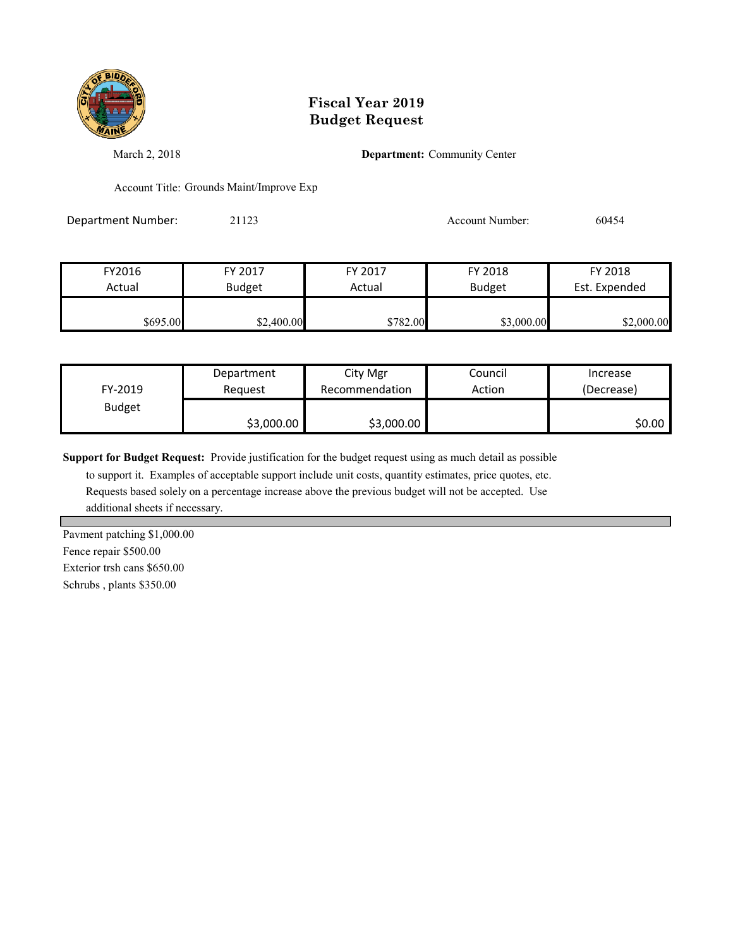

March 2, 2018 **Department:** Community Center

Account Title: Grounds Maint/Improve Exp

Department Number: 21123 2009 2012 2012 Account Number: 60454

| FY2016   | FY 2017       | FY 2017  | FY 2018       | FY 2018       |
|----------|---------------|----------|---------------|---------------|
| Actual   | <b>Budget</b> | Actual   | <b>Budget</b> | Est. Expended |
| \$695.00 | \$2,400.00    | \$782.00 | \$3,000.00    | \$2,000.00    |

| FY-2019       | Department | City Mgr       | Council | Increase   |
|---------------|------------|----------------|---------|------------|
|               | Reauest    | Recommendation | Action  | (Decrease) |
| <b>Budget</b> | \$3,000.00 | \$3,000.00     |         | \$0.00     |

**Support for Budget Request:** Provide justification for the budget request using as much detail as possible

 to support it. Examples of acceptable support include unit costs, quantity estimates, price quotes, etc. Requests based solely on a percentage increase above the previous budget will not be accepted. Use additional sheets if necessary.

Pavment patching \$1,000.00 Fence repair \$500.00 Exterior trsh cans \$650.00 Schrubs , plants \$350.00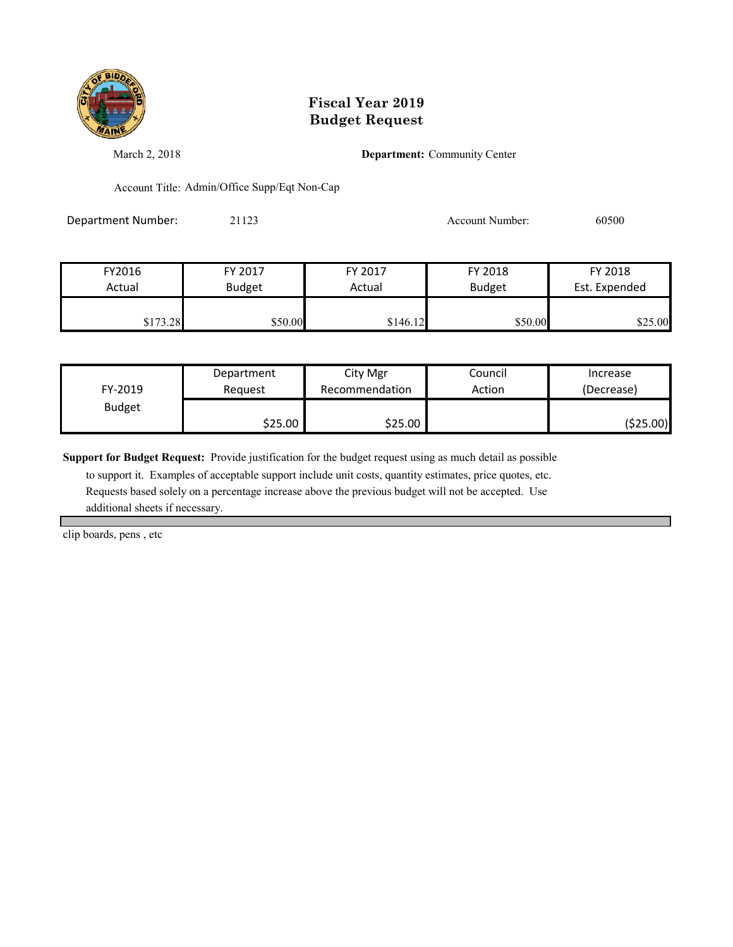

March 2, 2018 **Department:** Community Center

Account Title: Admin/Office Supp/Eqt Non-Cap

Department Number: 21123 2009 2012 2012 2012 2013 Account Number: 60500

| FY2016   | FY 2017       | FY 2017  | FY 2018       | FY 2018       |
|----------|---------------|----------|---------------|---------------|
| Actual   | <b>Budget</b> | Actual   | <b>Budget</b> | Est. Expended |
|          |               |          |               |               |
| \$173.28 | \$50.00       | \$146.12 | \$50.00       | \$25.00       |

| FY-2019       | Department | City Mgr       | Council | Increase   |
|---------------|------------|----------------|---------|------------|
|               | Reauest    | Recommendation | Action  | (Decrease) |
| <b>Budget</b> | \$25.00    | \$25.00∣       |         | ( \$25.00) |

**Support for Budget Request:** Provide justification for the budget request using as much detail as possible

 to support it. Examples of acceptable support include unit costs, quantity estimates, price quotes, etc. Requests based solely on a percentage increase above the previous budget will not be accepted. Use additional sheets if necessary.

clip boards, pens , etc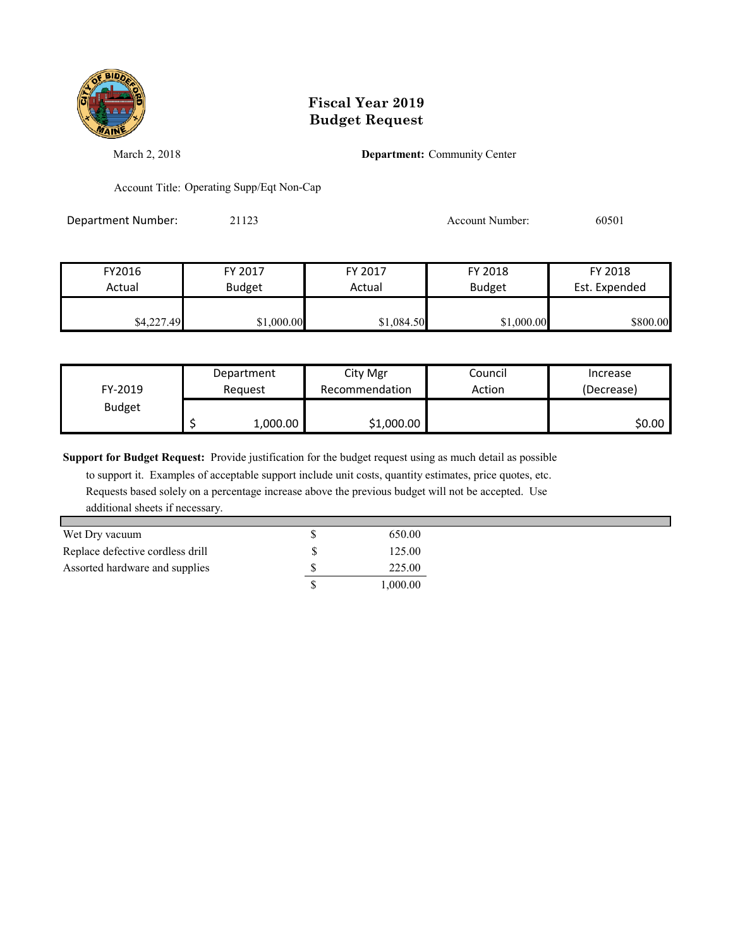

March 2, 2018 **Department:** Community Center

Account Title: Operating Supp/Eqt Non-Cap

Department Number: 21123 2009 2012 2012 2020 2020 20301

| FY2016     | FY 2017       | FY 2017    | FY 2018       | FY 2018       |
|------------|---------------|------------|---------------|---------------|
| Actual     | <b>Budget</b> | Actual     | <b>Budget</b> | Est. Expended |
|            |               |            |               |               |
| \$4,227.49 | \$1,000.00    | \$1,084.50 | \$1,000.00    | \$800.00      |

| FY-2019       | Department | City Mgr       | Council | Increase   |
|---------------|------------|----------------|---------|------------|
|               | Reauest    | Recommendation | Action  | (Decrease) |
| <b>Budget</b> | 1,000.00   | \$1,000.00     |         | \$0.00     |

**Support for Budget Request:** Provide justification for the budget request using as much detail as possible

| Wet Dry vacuum                   |   | 650.00   |
|----------------------------------|---|----------|
| Replace defective cordless drill | S | 125.00   |
| Assorted hardware and supplies   |   | 225.00   |
|                                  |   | 1,000.00 |